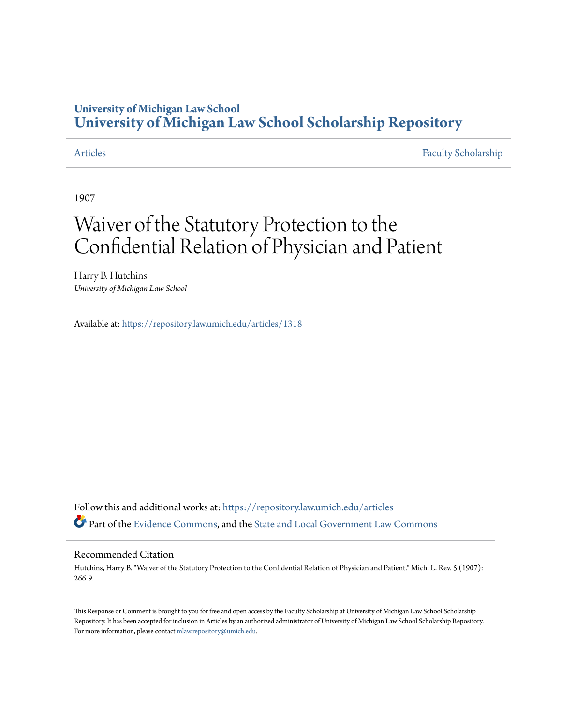### **University of Michigan Law School [University of Michigan Law School Scholarship Repository](https://repository.law.umich.edu?utm_source=repository.law.umich.edu%2Farticles%2F1318&utm_medium=PDF&utm_campaign=PDFCoverPages)**

[Articles](https://repository.law.umich.edu/articles?utm_source=repository.law.umich.edu%2Farticles%2F1318&utm_medium=PDF&utm_campaign=PDFCoverPages) [Faculty Scholarship](https://repository.law.umich.edu/faculty_scholarship?utm_source=repository.law.umich.edu%2Farticles%2F1318&utm_medium=PDF&utm_campaign=PDFCoverPages)

1907

# Waiver of the Statutory Protection to the Confidential Relation of Physician and Patient

Harry B. Hutchins *University of Michigan Law School*

Available at: <https://repository.law.umich.edu/articles/1318>

Follow this and additional works at: [https://repository.law.umich.edu/articles](https://repository.law.umich.edu/articles?utm_source=repository.law.umich.edu%2Farticles%2F1318&utm_medium=PDF&utm_campaign=PDFCoverPages) Part of the [Evidence Commons](http://network.bepress.com/hgg/discipline/601?utm_source=repository.law.umich.edu%2Farticles%2F1318&utm_medium=PDF&utm_campaign=PDFCoverPages), and the [State and Local Government Law Commons](http://network.bepress.com/hgg/discipline/879?utm_source=repository.law.umich.edu%2Farticles%2F1318&utm_medium=PDF&utm_campaign=PDFCoverPages)

### Recommended Citation

Hutchins, Harry B. "Waiver of the Statutory Protection to the Confidential Relation of Physician and Patient." Mich. L. Rev. 5 (1907): 266-9.

This Response or Comment is brought to you for free and open access by the Faculty Scholarship at University of Michigan Law School Scholarship Repository. It has been accepted for inclusion in Articles by an authorized administrator of University of Michigan Law School Scholarship Repository. For more information, please contact [mlaw.repository@umich.edu](mailto:mlaw.repository@umich.edu).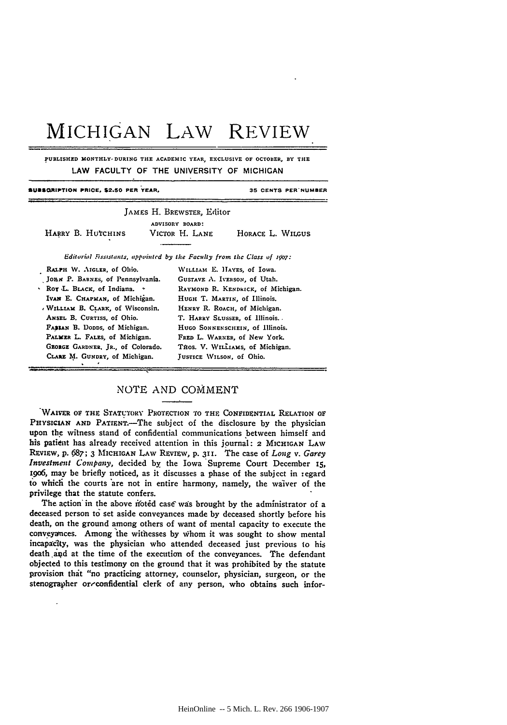## **MICHIGAN** LAW REVIEW

**PUBLISHED MONTHLY, DURING THE ACADEMIC YEAR, EXCLUSIVE OF OCTOBER, BY THE** LAW **FACULTY** OF THE **UNIVERSITY** OF **MICHIGAN**

| JAMES H. BREWSTER, Editor                                                                                                                                                                                                                                                                                                                                                                           |                                                                                                                                                                                                           |
|-----------------------------------------------------------------------------------------------------------------------------------------------------------------------------------------------------------------------------------------------------------------------------------------------------------------------------------------------------------------------------------------------------|-----------------------------------------------------------------------------------------------------------------------------------------------------------------------------------------------------------|
| ADVISORY BOARD:<br>HARRY B. HUTCHINS<br>Victor H. Lane                                                                                                                                                                                                                                                                                                                                              | HORACE L. WILGUS                                                                                                                                                                                          |
| Editorial Fissistants, appointed by the Faculty from the Class of 1907:                                                                                                                                                                                                                                                                                                                             |                                                                                                                                                                                                           |
| WILLIAM E. HAYES, of Iowa.<br>RALPH W. AIGLER, of Ohio.<br>JOHN P. BARNES, of Pennsylvania.<br>GUSTAVE A. IVERSON, of Utah.<br>Nor L. BLACK, of Indiana. *<br>IVAN E. CHAPMAN, of Michigan.<br>HUGH T. MARTIN, of Illinois.<br>WILLIAM B. CLARK, of Wisconsin.<br>ANSEL B. CURTISS, of Ohio.<br>FABRAN B. Dopps, of Michigan.<br>PALMER L. FALES, of Michigan.<br>GLORGE GARDNER, JR., of Colorado. | RAYMOND R. KENDRICK, of Michigan.<br>HENRY R. ROACH, of Michigan.<br>T. HARRY SLUSSER, of Illinois.<br>HUGO SONNENSCHEIN, of Illinois.<br>FRED L. WARNER, of New York.<br>THOS. V. WILLIAMS, of Michigan. |
| CLARE M. GUNDRY, of Michigan.<br>JUSTICE WILSON, of Ohio.                                                                                                                                                                                                                                                                                                                                           |                                                                                                                                                                                                           |

#### NOTE AND COMMENT

WAIVER OF THE STATUTORY PROTECTION TO THE CONFIDENTIAL RELATION OF PHYSICIAN AND PATIENT.-The subject of the disclosure by the physician upon the witness stand of confidential communications between himself and his patient has already received attention in this journal: 2 MICHIGAN LAW REVIEW, p.687; **3** MICHIGAN LAW REVIEW, **p. 31i.** The case of *Long v. Garey Investment Company,* decided by the Iowa Supreme Court December **15,** 1906, may be briefly noticed, as it discusses a phase of the subject in regard to which the courts are not in entire harmony, namely, the waiver of the privilege that the statute confers.

The action in the above ifotid case wais brought **by** the administrator of a deceased person **to** set aside conveyances made **by** deceased shortly before his death, on the ground among others of want of mental capacity to execute the conveyatnces. Among the withesses **by** Whom it was sought to show mental incapacIty, was the physician who attended deceased just previous to his death and at the time of the execution of the conveyances. The defendant objected to this testimony on the ground that it was prohibited **by** the statute provision that "no practicing attorney, counselor, physician, surgeon, or the stenographer or-confidential clerk of any person, who obtains such infor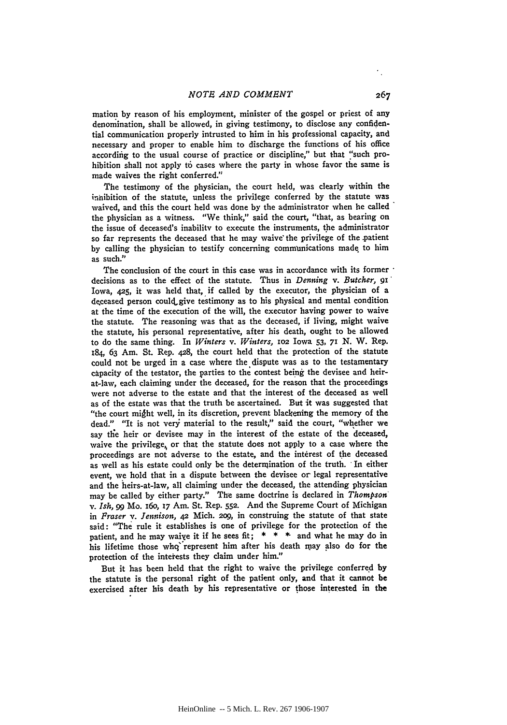mation **by** reason of his employment, minister of the gospel or priest of any denomination, shall be allowed, in giving testimony, to disclose any confidential communication properly intrusted to him in his professional capacity, and necessary and proper to enable him to discharge the functions of his office according to the usual course of practice or discipline," but that "such prohibition shall not apply to cases where the party in whose favor the same is made waives the right conferred."

The testimony of the physician, the court held, was clearly within the inhibition of the statute, unless the privilege conferred **by** the statute was waived, and this the court held was done **by** the administrator when he called the physician as a witness. "We think," said the court, "that, as bearing on the issue of deceased's inability to execute the instruments, the administrator so far represents the deceased that he may waive the privilege of the patient **by** calling the physician to testify concerning communications made to him as such."

The conclusion of the court in this case was in accordance with its former decisions as to the effect of the statute. Thus in *Denning v. Butcher,* **91"** Iowa, **425,** it was held that, if called **by** the executor, the physician of a deceased person could give testimony as to his physical and mental condition at the time of the execution of the will, the executor having power to waive the statute. The reasoning was that as the deceased, if living, might waive the statute, his personal representative, after his death, ought to be allowed to do the same thing. In *Winters v. Winters,* IO2 Iowa **53,** 71 *N.* W. Rep. i84, **63** Am. St. Rep. 428, the court held that the protection of the statute could not be urged in a case where the dispute was as to the testamentary capacity of the testator, the parties to **the** contest being the devisee and heirat-law, each claiming under the deceased, for the reason that the proceedings were not adverse to the estate and that the interest of the deceased as well as of the estate was that the truth be ascertained. But it was suggested that "the court might well, in its discretion, prevent blackening the memory of the dead." "It is not very material to the result," said the court, "whether we say the heir or devisee may in the interest of the estate of the deceased, waive the privilege, or that the statute does not apply to a case where the proceedings are not adverse to the estate, and the interest of the deceased as well as his estate could only be the determination of the truth. In either event, we hold that in a dispute between the devisee or legal representative and the heirs-at-law, all claiming under the deceased, the attending physician may be called by either party." The same doctrine is declared in *Thompson' v. Ish,* **99** Mo. i6o, **i7** Am. St. Rep. **552.** And the Supreme Court of Michigan in Fraser *v. Jennison,* **42** Mich. **209,** in construing the statute of that state said: "The rule it establishes is one of privilege for the protection of the patient, and he may waiye it if he sees fit; **\* \* \*** and what he **may** do in his lifetime those whq' represent him after his death rmay also do for the protection of the interests they claim under him."

But it has been **held** that the right to waive the privilege conferred **by** the statute is the personal right of the patient only, and that it cannot be exercised after his death **by** his representative or those interested in the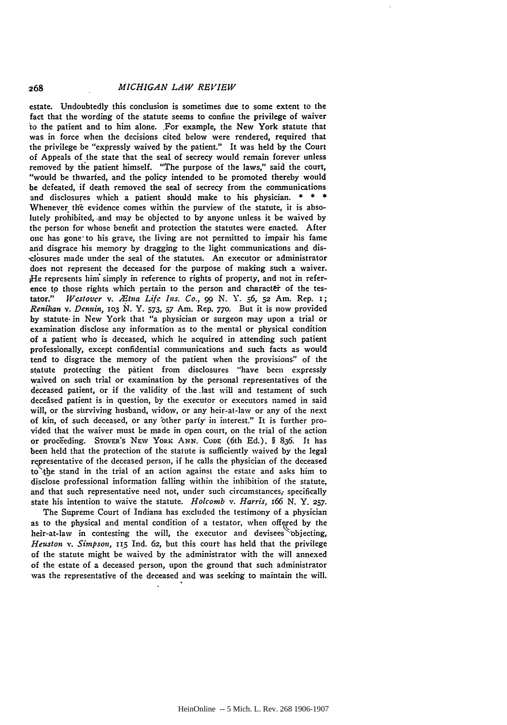estate. Undoubtedly this conclusion is sometimes due to some extent to the fact that the wording of the statute seems to confine the privilege of waiver to the patient and to him alone. For example, the New York statute that was in force when the decisions cited below were rendered, required that the privilege be "expressly waived **by** the patient." It was held **by** the Court of Appeals of the state that the seal of secrecy would remain forever unless removed by the patient himself. "The purpose of the laws," said the court, "would be thwarted, and the policy intended to be promoted thereby would be defeated, if death removed the seal of secrecy from the communications and disclosures which a patient should make to his physician. **\* \* \*** Whenever the evidence comes within the purview of the statute, it is absolutely prohibited, -and may be objected to **by** anyone unless it be waived **by** the person for whose benefit and protection the statutes were enacted. After one has gone to his grave, the living are not permitted to impair his fame and disgrace his memory by dragging to the light communications and dis- .cl-&sures made under the seal of the statutes. An executor or administrator does not represent the deceased for the purpose of making such a waiver. He represents him" simply in reference to rights of property, and not in reference to those rights which pertain to the person and character of the testator." *Westover v. .Etna Life Ins. Co., 99* N. Y. **56, 52** Am. Rep. **i;** *Renihan v. Dennin,* **1o3 N. Y.** *573,* **57** Am. Rep. **77o.** But it is now provided **by** statute. in New York that "a physician or surgeon may upon a trial or examination disclose any information as to the mental or physical condition **of** a patient who is deceased, which he acquired in attending such patient professionally, except confidential communications and such facts as would tend to disgrace the memory of the patient when the provisions" of the statute protecting the patient from disclosures "have been expressly waived on such trial or examination **by** the personal representatives of the deceased patient, or if the validity of the last will and testament of such deceased patient is in question, **by** the executor or executors named in said will, or the surviving husband, widow, or any heir-at-law or any of the next of kin, of such deceased, or any 'other party- in interest." It is further provided that the waiver must be made in open court, on the trial of the action or proceeding. STOVER'S NEW YORK ANN. CODE (6th Ed.), § 836. It has been held that the protection of the statute is sufficiently waived **by** the legal representative of the deceased person, if he calls the physician of the deceased to **tle** stand in the trial of an action against the estate and asks him to disclose professional information falling within the inhibition of the statute, and that such representative need not, under such circumstances; specifically state his intention to waive the statute. *Holcomb v. Harris, i66* **N.** Y. **257.**

The Supreme Court of Indiana has excluded the testimony of a physician as to the physical and mental condition of a testator, when **offered by** the heir-at-law in contesting the will, the executor and devisees 'bjecting, *Heuston v. Simpson,* **115** Ind. **62,** but this court has held that the privilege of the statute might be waived **by** the administrator with the will annexed of the estate of a deceased person, upon the ground that such administrator **was** the representative of the deceased and was seeking to maintain the will.

268